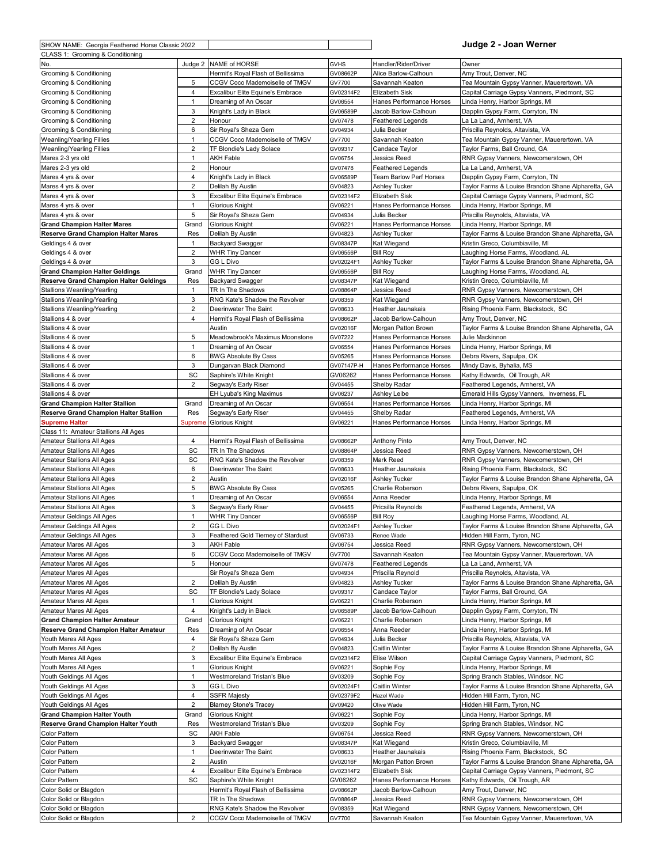| SHOW NAME: Georgia Feathered Horse Classic 2022                                     |                                  |                                                                    |                        |                                                  | Judge 2 - Joan Werner                                                                      |
|-------------------------------------------------------------------------------------|----------------------------------|--------------------------------------------------------------------|------------------------|--------------------------------------------------|--------------------------------------------------------------------------------------------|
| CLASS 1: Grooming & Conditioning                                                    |                                  |                                                                    |                        |                                                  |                                                                                            |
| No.                                                                                 | Judge 2                          | NAME of HORSE                                                      | <b>GVHS</b>            | Handler/Rider/Driver                             | Owner                                                                                      |
| Grooming & Conditioning                                                             | 5                                | Hermit's Royal Flash of Bellissima                                 | GV08662P               | Alice Barlow-Calhoun                             | Amy Trout, Denver, NC                                                                      |
| Grooming & Conditioning<br>Grooming & Conditioning                                  | $\overline{4}$                   | CCGV Coco Mademoiselle of TMGV<br>Excalibur Elite Equine's Embrace | GV7700<br>GV02314F2    | Savannah Keaton<br>Elizabeth Sisk                | Tea Mountain Gypsy Vanner, Mauerertown, VA<br>Capital Carriage Gypsy Vanners, Piedmont, SC |
| Grooming & Conditioning                                                             | $\mathbf{1}$                     | Dreaming of An Oscar                                               | GV06554                | Hanes Performance Horses                         | Linda Henry, Harbor Springs, MI                                                            |
| Grooming & Conditioning                                                             | 3                                | Knight's Lady in Black                                             | GV06589P               | Jacob Barlow-Calhoun                             | Dapplin Gypsy Farm, Corryton, TN                                                           |
| Grooming & Conditioning                                                             | $\overline{2}$                   | Honour                                                             | GV07478                | <b>Feathered Legends</b>                         | La La Land, Amherst, VA                                                                    |
| Grooming & Conditioning                                                             | 6                                | Sir Royal's Sheza Gem                                              | GV04934                | Julia Becker                                     | Priscilla Reynolds, Altavista, VA                                                          |
| Weanling/Yearling Fillies                                                           | 1                                | CCGV Coco Mademoiselle of TMGV                                     | GV7700                 | Savannah Keaton                                  | Tea Mountain Gypsy Vanner, Mauerertown, VA                                                 |
| Weanling/Yearling Fillies                                                           | 2                                | TF Blondie's Lady Solace                                           | GV09317                | Candace Taylor                                   | Taylor Farms, Ball Ground, GA                                                              |
| Mares 2-3 yrs old                                                                   | 1                                | AKH Fable                                                          | GV06754                | Jessica Reed                                     | RNR Gypsy Vanners, Newcomerstown, OH                                                       |
| Mares 2-3 yrs old                                                                   | 2                                | Honour                                                             | GV07478                | <b>Feathered Legends</b>                         | La La Land, Amherst, VA                                                                    |
| Mares 4 yrs & over<br>Mares 4 yrs & over                                            | $\overline{4}$<br>$\overline{2}$ | Knight's Lady in Black<br>Delilah By Austin                        | GV06589P<br>GV04823    | <b>Team Barlow Perf Horses</b><br>Ashley Tucker  | Dapplin Gypsy Farm, Corryton, TN<br>Taylor Farms & Louise Brandon Shane Alpharetta, GA     |
| Mares 4 yrs & over                                                                  | 3                                | Excalibur Elite Equine's Embrace                                   | GV02314F2              | Elizabeth Sisk                                   | Capital Carriage Gypsy Vanners, Piedmont, SC                                               |
| Mares 4 yrs & over                                                                  | $\mathbf{1}$                     | <b>Glorious Knight</b>                                             | GV06221                | Hanes Performance Horses                         | Linda Henry, Harbor Springs, MI                                                            |
| Mares 4 yrs & over                                                                  | 5                                | Sir Royal's Sheza Gem                                              | GV04934                | Julia Becker                                     | Priscilla Reynolds, Altavista, VA                                                          |
| <b>Grand Champion Halter Mares</b>                                                  | Grand                            | Glorious Knight                                                    | GV06221                | Hanes Performance Horses                         | Linda Henry, Harbor Springs, MI                                                            |
| <b>Reserve Grand Champion Halter Mares</b>                                          | Res                              | Delilah By Austin                                                  | GV04823                | Ashley Tucker                                    | Taylor Farms & Louise Brandon Shane Alpharetta, GA                                         |
| Geldings 4 & over                                                                   | 1                                | <b>Backyard Swagger</b>                                            | GV08347P               | Kat Wiegand                                      | Kristin Greco, Columbiaville, MI                                                           |
| Geldings 4 & over                                                                   | 2                                | <b>WHR Tiny Dancer</b>                                             | GV06556P               | <b>Bill Roy</b>                                  | Laughing Horse Farms, Woodland, AL                                                         |
| Geldings 4 & over                                                                   | 3                                | GG L Divo                                                          | GV02024F1              | Ashley Tucker                                    | Taylor Farms & Louise Brandon Shane Alpharetta, GA                                         |
| <b>Grand Champion Halter Geldings</b>                                               | Grand                            | <b>WHR Tiny Dancer</b>                                             | GV06556P               | <b>Bill Roy</b>                                  | aughing Horse Farms, Woodland, AL                                                          |
| <b>Reserve Grand Champion Halter Geldings</b><br><b>Stallions Weanling/Yearling</b> | Res<br>$\mathbf{1}$              | Backyard Swagger<br>TR In The Shadows                              | GV08347P               | Kat Wiegand<br>Jessica Reed                      | Kristin Greco, Columbiaville, MI<br>RNR Gypsy Vanners, Newcomerstown, OH                   |
| Stallions Weanling/Yearling                                                         | 3                                | RNG Kate's Shadow the Revolver                                     | GV08864P<br>GV08359    | Kat Wiegand                                      | RNR Gypsy Vanners, Newcomerstown, OH                                                       |
| Stallions Weanling/Yearling                                                         | 2                                | Deerinwater The Saint                                              | GV08633                | Heather Jaunakais                                | Rising Phoenix Farm, Blackstock, SC                                                        |
| Stallions 4 & over                                                                  | 4                                | Hermit's Royal Flash of Bellissima                                 | GV08662P               | Jacob Barlow-Calhoun                             | Amy Trout, Denver, NC                                                                      |
| Stallions 4 & over                                                                  |                                  | Austin                                                             | GV02016F               | Morgan Patton Brown                              | Taylor Farms & Louise Brandon Shane Alpharetta, GA                                         |
| Stallions 4 & over                                                                  | 5                                | Meadowbrook's Maximus Moonstone                                    | GV07222                | Hanes Performance Horses                         | Julie Mackinnon                                                                            |
| Stallions 4 & over                                                                  | $\mathbf{1}$                     | Dreaming of An Oscar                                               | GV06554                | Hanes Performance Horses                         | Linda Henry, Harbor Springs, MI                                                            |
| Stallions 4 & over                                                                  | 6                                | <b>BWG Absolute By Cass</b>                                        | GV05265                | Hanes Performance Horses                         | Debra Rivers, Sapulpa, OK                                                                  |
| Stallions 4 & over                                                                  | 3                                | Dungarvan Black Diamond                                            | GV07147P-H             | Hanes Performance Horses                         | Mindy Davis, Byhalia, MS                                                                   |
| Stallions 4 & over                                                                  | SC                               | Saphire's White Knight                                             | GV06262                | Hanes Performance Horses                         | Kathy Edwards, Oil Trough, AR                                                              |
| Stallions 4 & over                                                                  | 2                                | Segway's Early Riser                                               | GV04455                | Shelby Radar                                     | Feathered Legends, Amherst, VA                                                             |
| Stallions 4 & over<br><b>Grand Champion Halter Stallion</b>                         | Grand                            | EH Lyuba's King Maximus<br>Dreaming of An Oscar                    | GV06237<br>GV06554     | Ashley Leibe<br>Hanes Performance Horses         | Emerald Hills Gypsy Vanners, Inverness, FL<br>Linda Henry, Harbor Springs, MI              |
| <b>Reserve Grand Champion Halter Stallion</b>                                       | Res                              | Segway's Early Riser                                               | GV04455                | Shelby Radar                                     | Feathered Legends, Amherst, VA                                                             |
| <b>Supreme Halter</b>                                                               | Suprem                           | <b>Glorious Knight</b>                                             | GV06221                | Hanes Performance Horses                         | Linda Henry, Harbor Springs, MI                                                            |
| Class 11: Amateur Stallions All Ages                                                |                                  |                                                                    |                        |                                                  |                                                                                            |
| Amateur Stallions All Ages                                                          | 4                                | Hermit's Royal Flash of Bellissima                                 | GV08662P               | <b>Anthony Pinto</b>                             | Amy Trout, Denver, NC                                                                      |
| Amateur Stallions All Ages                                                          | SC                               | TR In The Shadows                                                  | GV08864P               | Jessica Reed                                     | RNR Gypsy Vanners, Newcomerstown, OH                                                       |
| Amateur Stallions All Ages                                                          | SC                               | RNG Kate's Shadow the Revolver                                     | GV08359                | Mark Reed                                        | RNR Gypsy Vanners, Newcomerstown, OH                                                       |
| Amateur Stallions All Ages                                                          | 6                                | Deerinwater The Saint                                              | GV08633                | Heather Jaunakais                                | Rising Phoenix Farm, Blackstock, SC                                                        |
| Amateur Stallions All Ages                                                          | 2                                | Austin                                                             | GV02016F               | Ashley Tucker                                    | Taylor Farms & Louise Brandon Shane Alpharetta, GA                                         |
| Amateur Stallions All Ages<br><b>Amateur Stallions All Ages</b>                     | 5<br>$\mathbf{1}$                | <b>BWG Absolute By Cass</b><br>Dreaming of An Oscar                | GV05265<br>GV06554     | Charlie Roberson<br>Anna Reeder                  | Debra Rivers, Sapulpa, OK                                                                  |
| Amateur Stallions All Ages                                                          | 3                                | Segway's Early Riser                                               | GV04455                | Pricsilla Reynolds                               | inda Henry, Harbor Springs, MI.<br>Feathered Legends, Amherst, VA                          |
| Amateur Geldings All Ages                                                           | $\mathbf{1}$                     | <b>WHR Tiny Dancer</b>                                             | GV06556P               | <b>Bill Roy</b>                                  | aughing Horse Farms, Woodland, AL                                                          |
| Amateur Geldings All Ages                                                           | $\overline{2}$                   | <b>GG L Divo</b>                                                   | GV02024F1              | Ashley Tucker                                    | Taylor Farms & Louise Brandon Shane Alpharetta, GA                                         |
| Amateur Geldings All Ages                                                           | 3                                | Feathered Gold Tierney of Stardust                                 | GV06733                | Renee Wade                                       | Hidden Hill Farm, Tyron, NC                                                                |
| Amateur Mares All Ages                                                              | 3                                | AKH Fable                                                          | GV06754                | Jessica Reed                                     | RNR Gypsy Vanners, Newcomerstown, OH                                                       |
| Amateur Mares All Ages                                                              | 6                                | CCGV Coco Mademoiselle of TMGV                                     | GV7700                 | Savannah Keaton                                  | Tea Mountain Gypsy Vanner, Mauerertown, VA                                                 |
| Amateur Mares All Ages                                                              | 5                                | Honour                                                             | GV07478                | Feathered Legends                                | La La Land, Amherst, VA                                                                    |
| Amateur Mares All Ages                                                              |                                  | Sir Royal's Sheza Gem                                              | GV04934                | Priscilla Reynold                                | Priscilla Reynolds, Altavista, VA                                                          |
| Amateur Mares All Ages                                                              | $\overline{2}$<br>SC             | Delilah By Austin<br>TF Blondie's Lady Solace                      | GV04823                | Ashley Tucker                                    | Taylor Farms & Louise Brandon Shane Alpharetta, GA                                         |
| Amateur Mares All Ages<br>Amateur Mares All Ages                                    | $\mathbf{1}$                     | Glorious Knight                                                    | GV09317<br>GV06221     | Candace Taylor<br>Charlie Roberson               | Taylor Farms, Ball Ground, GA<br>Linda Henry, Harbor Springs, MI                           |
| Amateur Mares All Ages                                                              | $\overline{4}$                   | Knight's Lady in Black                                             | GV06589P               | Jacob Barlow-Calhoun                             | Dapplin Gypsy Farm, Corryton, TN                                                           |
| <b>Grand Champion Halter Amateur</b>                                                | Grand                            | Glorious Knight                                                    | GV06221                | Charlie Roberson                                 | Linda Henry, Harbor Springs, MI                                                            |
| Reserve Grand Champion Halter Amateur                                               | Res                              | Dreaming of An Oscar                                               | GV06554                | Anna Reeder                                      | Linda Henry, Harbor Springs, MI                                                            |
| Youth Mares All Ages                                                                | 4                                | Sir Royal's Sheza Gem                                              | GV04934                | Julia Becker                                     | Priscilla Reynolds, Altavista, VA                                                          |
| Youth Mares All Ages                                                                | 2                                | Delilah By Austin                                                  | GV04823                | Caitlin Winter                                   | Taylor Farms & Louise Brandon Shane Alpharetta, GA                                         |
| Youth Mares All Ages                                                                | 3                                | Excalibur Elite Equine's Embrace                                   | GV02314F2              | Elise Wilson                                     | Capital Carriage Gypsy Vanners, Piedmont, SC                                               |
| Youth Mares All Ages                                                                | $\mathbf{1}$                     | Glorious Knight                                                    | GV06221                | Sophie Foy                                       | Linda Henry, Harbor Springs, MI                                                            |
| Youth Geldings All Ages                                                             | $\mathbf{1}$                     | Westmoreland Tristan's Blue                                        | GV03209                | Sophie Foy                                       | Spring Branch Stables, Windsor, NC                                                         |
| Youth Geldings All Ages<br>Youth Geldings All Ages                                  | 3<br>4                           | GG L Divo<br><b>SSFR Majesty</b>                                   | GV02024F1<br>GV02379F2 | Caitlin Winter<br>Hazel Wade                     | Taylor Farms & Louise Brandon Shane Alpharetta, GA<br>Hidden Hill Farm, Tyron, NC          |
| Youth Geldings All Ages                                                             | 2                                | <b>Blarney Stone's Tracey</b>                                      | GV09420                | Olive Wade                                       | Hidden Hill Farm, Tyron, NC                                                                |
| <b>Grand Champion Halter Youth</b>                                                  | Grand                            | Glorious Knight                                                    | GV06221                | Sophie Foy                                       | Linda Henry, Harbor Springs, MI                                                            |
| Reserve Grand Champion Halter Youth                                                 | Res                              | Westmoreland Tristan's Blue                                        | GV03209                | Sophie Foy                                       | Spring Branch Stables, Windsor, NC                                                         |
| Color Pattern                                                                       | SC                               | AKH Fable                                                          | GV06754                | Jessica Reed                                     | RNR Gypsy Vanners, Newcomerstown, OH                                                       |
| Color Pattern                                                                       | 3                                | <b>Backyard Swagger</b>                                            | GV08347P               | Kat Wiegand                                      | Kristin Greco, Columbiaville, MI                                                           |
| Color Pattern                                                                       | $\mathbf{1}$                     | Deerinwater The Saint                                              | GV08633                | Heather Jaunakais                                | Rising Phoenix Farm, Blackstock, SC                                                        |
| Color Pattern                                                                       | 2                                | Austin                                                             | GV02016F               | Morgan Patton Brown                              | Taylor Farms & Louise Brandon Shane Alpharetta, GA                                         |
| Color Pattern                                                                       | 4                                | Excalibur Elite Equine's Embrace                                   | GV02314F2              | Elizabeth Sisk                                   | Capital Carriage Gypsy Vanners, Piedmont, SC                                               |
| Color Pattern<br>Color Solid or Blagdon                                             | SC                               | Saphire's White Knight<br>Hermit's Royal Flash of Bellissima       | GV06262<br>GV08662P    | Hanes Performance Horses<br>Jacob Barlow-Calhoun | Kathy Edwards, Oil Trough, AR<br>Amy Trout, Denver, NC                                     |
| Color Solid or Blagdon                                                              |                                  | TR In The Shadows                                                  | GV08864P               | Jessica Reed                                     | RNR Gypsy Vanners, Newcomerstown, OH                                                       |
|                                                                                     |                                  |                                                                    |                        |                                                  |                                                                                            |
| Color Solid or Blagdon                                                              |                                  | RNG Kate's Shadow the Revolver                                     | GV08359                | Kat Wiegand                                      | RNR Gypsy Vanners, Newcomerstown, OH                                                       |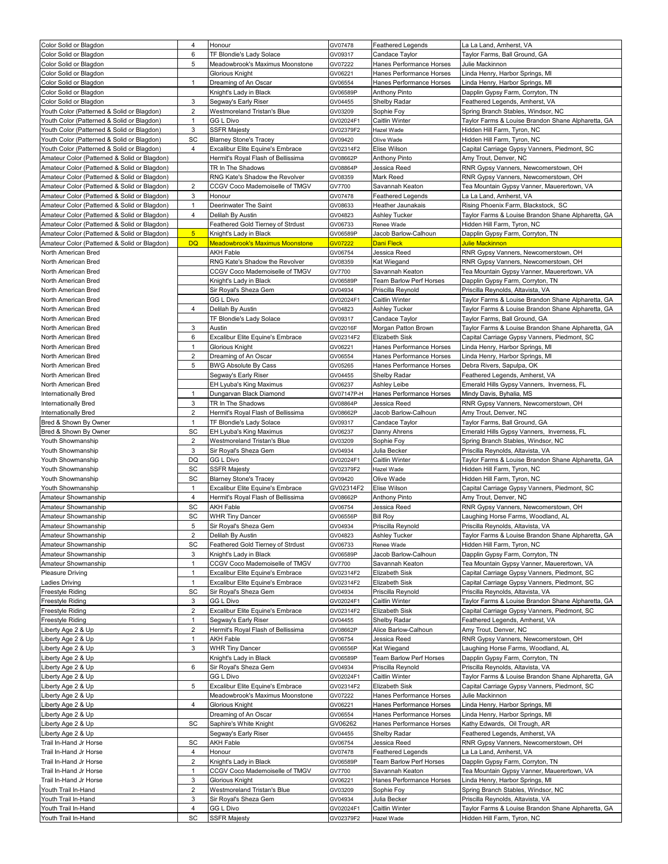| Color Solid or Blagdon                       | 4                       | Honour                                  | GV07478                | <b>Feathered Legends</b>       | La La Land, Amherst, VA                                                           |
|----------------------------------------------|-------------------------|-----------------------------------------|------------------------|--------------------------------|-----------------------------------------------------------------------------------|
| Color Solid or Blagdon                       | 6                       | TF Blondie's Lady Solace                | GV09317                | Candace Tavlor                 | Tavlor Farms, Ball Ground, GA                                                     |
| Color Solid or Blagdon                       | 5                       | Meadowbrook's Maximus Moonstone         | GV07222                | Hanes Performance Horses       | Julie Mackinnon                                                                   |
|                                              |                         |                                         |                        |                                |                                                                                   |
| Color Solid or Blagdon                       |                         | <b>Glorious Knight</b>                  | GV06221                | Hanes Performance Horses       | Linda Henry, Harbor Springs, MI                                                   |
| Color Solid or Blagdon                       | $\mathbf{1}$            | Dreaming of An Oscar                    | GV06554                | Hanes Performance Horses       | Linda Henry, Harbor Springs, MI                                                   |
| Color Solid or Blagdon                       |                         | Knight's Lady in Black                  | GV06589P               | <b>Anthony Pinto</b>           | Dapplin Gypsy Farm, Corryton, TN                                                  |
| Color Solid or Blagdon                       | 3                       | Segway's Early Riser                    | GV04455                | Shelby Radar                   | Feathered Legends, Amherst, VA                                                    |
| Youth Color (Patterned & Solid or Blagdon)   | 2                       | Westmoreland Tristan's Blue             | GV03209                | Sophie Foy                     | Spring Branch Stables, Windsor, NC                                                |
| Youth Color (Patterned & Solid or Blagdon)   | 1                       | <b>GG L Divo</b>                        | GV02024F1              | Caitlin Winter                 | Taylor Farms & Louise Brandon Shane Alpharetta, GA                                |
| Youth Color (Patterned & Solid or Blagdon)   | 3                       | <b>SSFR Majesty</b>                     | GV02379F2              | Hazel Wade                     | Hidden Hill Farm, Tyron, NC                                                       |
| Youth Color (Patterned & Solid or Blagdon)   | SC                      | <b>Blarney Stone's Tracey</b>           | GV09420                | Olive Wade                     | Hidden Hill Farm, Tyron, NC                                                       |
| Youth Color (Patterned & Solid or Blagdon)   | 4                       | Excalibur Elite Equine's Embrace        | GV02314F2              | Elise Wilson                   | Capital Carriage Gypsy Vanners, Piedmont, SC                                      |
|                                              |                         |                                         |                        |                                |                                                                                   |
| Amateur Color (Patterned & Solid or Blagdon) |                         | Hermit's Royal Flash of Bellissima      | GV08662P               | <b>Anthony Pinto</b>           | Amy Trout, Denver, NC                                                             |
| Amateur Color (Patterned & Solid or Blagdon) |                         | TR In The Shadows                       | GV08864P               | Jessica Reed                   | RNR Gypsy Vanners, Newcomerstown, OH                                              |
| Amateur Color (Patterned & Solid or Blagdon) |                         | RNG Kate's Shadow the Revolver          | GV08359                | Mark Reed                      | RNR Gypsy Vanners, Newcomerstown, OH                                              |
| Amateur Color (Patterned & Solid or Blagdon) | 2                       | CCGV Coco Mademoiselle of TMGV          | GV7700                 | Savannah Keaton                | Tea Mountain Gypsy Vanner, Mauerertown, VA                                        |
| Amateur Color (Patterned & Solid or Blagdon) | 3                       | Honour                                  | GV07478                | <b>Feathered Legends</b>       | La La Land, Amherst, VA                                                           |
| Amateur Color (Patterned & Solid or Blagdon) | 1                       | Deerinwater The Saint                   | GV08633                | Heather Jaunakais              | Rising Phoenix Farm, Blackstock, SC                                               |
| Amateur Color (Patterned & Solid or Blagdon) | 4                       | Delilah By Austin                       | GV04823                | Ashley Tucker                  | Taylor Farms & Louise Brandon Shane Alpharetta, GA                                |
| Amateur Color (Patterned & Solid or Blagdon) |                         | Feathered Gold Tierney of Strdust       | GV06733                | Renee Wade                     | Hidden Hill Farm, Tyron, NC                                                       |
| Amateur Color (Patterned & Solid or Blagdon) | 5 <sub>5</sub>          | Knight's Lady in Black                  | GV06589P               | Jacob Barlow-Calhoun           | Dapplin Gypsy Farm, Corryton, TN                                                  |
|                                              |                         |                                         |                        |                                |                                                                                   |
| Amateur Color (Patterned & Solid or Blagdon) | <b>DQ</b>               | <b>Meadowbrook's Maximus Moonstone</b>  | GV07222                | Dani Fleck                     | Julie Mackinnon                                                                   |
| North American Bred                          |                         | <b>AKH Fable</b>                        | GV06754                | Jessica Reed                   | RNR Gypsy Vanners, Newcomerstown, OH                                              |
| North American Bred                          |                         | RNG Kate's Shadow the Revolver          | GV08359                | Kat Wiegand                    | RNR Gypsy Vanners, Newcomerstown, OH                                              |
| North American Bred                          |                         | CCGV Coco Mademoiselle of TMGV          | GV7700                 | Savannah Keaton                | Tea Mountain Gypsy Vanner, Mauerertown, VA                                        |
| North American Bred                          |                         | Knight's Lady in Black                  | GV06589P               | <b>Team Barlow Perf Horses</b> | Dapplin Gypsy Farm, Corryton, TN                                                  |
| North American Bred                          |                         | Sir Royal's Sheza Gem                   | GV04934                | Priscilla Reynold              | Priscilla Reynolds, Altavista, VA                                                 |
| North American Bred                          |                         | <b>GG L Divo</b>                        | GV02024F1              | Caitlin Winter                 | Taylor Farms & Louise Brandon Shane Alpharetta, GA                                |
|                                              | 4                       |                                         |                        |                                | Taylor Farms & Louise Brandon Shane Alpharetta, GA                                |
| North American Bred                          |                         | Delilah By Austin                       | GV04823                | Ashley Tucker                  |                                                                                   |
| North American Bred                          |                         | TF Blondie's Lady Solace                | GV09317                | Candace Taylor                 | Taylor Farms, Ball Ground, GA                                                     |
| North American Bred                          | 3                       | Austin                                  | GV02016F               | Morgan Patton Brown            | Taylor Farms & Louise Brandon Shane Alpharetta, GA                                |
| North American Bred                          | 6                       | Excalibur Elite Equine's Embrace        | GV02314F2              | Elizabeth Sisk                 | Capital Carriage Gypsy Vanners, Piedmont, SC                                      |
| North American Bred                          | 1                       | Glorious Knight                         | GV06221                | Hanes Performance Horses       | Linda Henry, Harbor Springs, MI                                                   |
| North American Bred                          | 2                       | Dreaming of An Oscar                    | GV06554                | Hanes Performance Horses       | Linda Henry, Harbor Springs, MI                                                   |
| North American Bred                          | 5                       | <b>BWG Absolute By Cass</b>             | GV05265                | Hanes Performance Horses       | Debra Rivers, Sapulpa, OK                                                         |
|                                              |                         |                                         |                        |                                |                                                                                   |
| North American Bred                          |                         | Segway's Early Riser                    | GV04455                | Shelby Radar                   | Feathered Legends, Amherst, VA                                                    |
| North American Bred                          |                         | EH Lyuba's King Maximus                 | GV06237                | Ashley Leibe                   | Emerald Hills Gypsy Vanners, Inverness, FL                                        |
| Internationally Bred                         | $\mathbf{1}$            | Dungarvan Black Diamond                 | GV07147P-H             | Hanes Performance Horses       | Mindy Davis, Byhalia, MS                                                          |
| Internationally Bred                         | 3                       | TR In The Shadows                       | GV08864P               | Jessica Reed                   | RNR Gypsy Vanners, Newcomerstown, OH                                              |
| Internationally Bred                         | 2                       | Hermit's Royal Flash of Bellissima      | GV08662P               | Jacob Barlow-Calhoun           | Amy Trout, Denver, NC                                                             |
| Bred & Shown By Owner                        | 1                       | TF Blondie's Lady Solace                | GV09317                | Candace Taylor                 | Taylor Farms, Ball Ground, GA                                                     |
|                                              |                         |                                         |                        |                                |                                                                                   |
| Bred & Shown By Owner                        | SC                      | EH Lyuba's King Maximus                 | GV06237                | Danny Ahrens                   | Emerald Hills Gypsy Vanners, Inverness, FL                                        |
| Youth Showmanship                            | $\overline{2}$          | Westmoreland Tristan's Blue             | GV03209                | Sophie Foy                     | Spring Branch Stables, Windsor, NC                                                |
| Youth Showmanship                            | 3                       | Sir Royal's Sheza Gem                   | GV04934                | Julia Becker                   | Priscilla Reynolds, Altavista, VA                                                 |
| Youth Showmanship                            | DQ                      | <b>GG L Divo</b>                        | GV02024F1              | Caitlin Winter                 | Taylor Farms & Louise Brandon Shane Alpharetta, GA                                |
| Youth Showmanship                            | SC                      | <b>SSFR Majesty</b>                     | GV02379F2              | Hazel Wade                     | Hidden Hill Farm, Tyron, NC                                                       |
| Youth Showmanship                            | SC                      | <b>Blarney Stone's Tracey</b>           | GV09420                | Olive Wade                     | Hidden Hill Farm, Tyron, NC                                                       |
| Youth Showmanship                            | $\mathbf{1}$            | Excalibur Elite Equine's Embrace        | GV02314F2              | Elise Wilson                   | Capital Carriage Gypsy Vanners, Piedmont, SC                                      |
|                                              |                         |                                         |                        |                                |                                                                                   |
| Amateur Showmanship                          | $\overline{4}$          | Hermit's Royal Flash of Bellissima      | GV08662P               | <b>Anthony Pinto</b>           | Amy Trout, Denver, NC                                                             |
| Amateur Showmanship                          | SC                      | <b>AKH Fable</b>                        | GV06754                | Jessica Reed                   | RNR Gypsy Vanners, Newcomerstown, OH                                              |
| Amateur Showmanship                          | SC                      | <b>WHR Tiny Dancer</b>                  | GV06556P               | <b>Bill Roy</b>                | Laughing Horse Farms, Woodland, AL                                                |
| Amateur Showmanship                          | 5                       | Sir Royal's Sheza Gem                   | GV04934                | Priscilla Reynold              | Priscilla Reynolds, Altavista, VA                                                 |
| Amateur Showmanship                          | $\overline{2}$          | Delilah By Austin                       | GV04823                | Ashley Tucker                  | Taylor Farms & Louise Brandon Shane Alpharetta, GA                                |
| Amateur Showmanship                          | SC                      | Feathered Gold Tierney of Strdust       | GV06733                | Renee Wade                     |                                                                                   |
| Amateur Showmanship                          | 3                       |                                         |                        |                                |                                                                                   |
|                                              |                         |                                         |                        |                                | Hidden Hill Farm, Tyron, NC                                                       |
| Amateur Showmanship                          |                         | Knight's Lady in Black                  | GV06589P               | Jacob Barlow-Calhoun           | Dapplin Gypsy Farm, Corryton, TN                                                  |
|                                              | 1                       | CCGV Coco Mademoiselle of TMGV          | GV7700                 | Savannah Keaton                | Tea Mountain Gypsy Vanner, Mauerertown, VA                                        |
| <b>Pleasure Driving</b>                      | 1                       | Excalibur Elite Equine's Embrace        | GV02314F2              | Elizabeth Sisk                 | Capital Carriage Gypsy Vanners, Piedmont, SC                                      |
| Ladies Driving                               | 1                       | Excalibur Elite Equine's Embrace        | GV02314F2              | Elizabeth Sisk                 | Capital Carriage Gypsy Vanners, Piedmont, SC                                      |
| <b>Freestyle Riding</b>                      | SC                      | Sir Royal's Sheza Gem                   | GV04934                | Priscilla Reynold              | Priscilla Reynolds, Altavista, VA                                                 |
| Freestyle Riding                             | 3                       | <b>GG L Divo</b>                        | GV02024F1              | Caitlin Winter                 | Taylor Farms & Louise Brandon Shane Alpharetta, GA                                |
|                                              |                         |                                         |                        |                                |                                                                                   |
| Freestyle Riding                             | $\overline{\mathbf{c}}$ | Excalibur Elite Equine's Embrace        | GV02314F2              | Elizabeth Sisk                 | Capital Carriage Gypsy Vanners, Piedmont, SC                                      |
| Freestyle Riding                             | 1                       | Segway's Early Riser                    | GV04455                | Shelby Radar                   | Feathered Legends, Amherst, VA                                                    |
| Liberty Age 2 & Up                           | $\overline{2}$          | Hermit's Royal Flash of Bellissima      | GV08662P               | Alice Barlow-Calhoun           | Amy Trout, Denver, NC                                                             |
| Liberty Age 2 & Up                           | 1                       | <b>AKH Fable</b>                        | GV06754                | Jessica Reed                   | RNR Gypsy Vanners, Newcomerstown, OH                                              |
| Liberty Age 2 & Up                           | 3                       | <b>WHR Tiny Dancer</b>                  | GV06556P               | Kat Wiegand                    | Laughing Horse Farms, Woodland, AL                                                |
| Liberty Age 2 & Up                           |                         | Knight's Lady in Black                  | GV06589P               | Team Barlow Perf Horses        | Dapplin Gypsy Farm, Corryton, TN                                                  |
|                                              | 6                       |                                         | GV04934                | Priscilla Reynold              | Priscilla Reynolds, Altavista, VA                                                 |
| iberty Age 2 & Up.                           |                         | Sir Royal's Sheza Gem                   |                        |                                |                                                                                   |
| Liberty Age 2 & Up                           |                         | <b>GG L Divo</b>                        | GV02024F1              | Caitlin Winter                 | Taylor Farms & Louise Brandon Shane Alpharetta, GA                                |
| Liberty Age 2 & Up                           | 5                       | Excalibur Elite Equine's Embrace        | GV02314F2              | Elizabeth Sisk                 | Capital Carriage Gypsy Vanners, Piedmont, SC                                      |
| Liberty Age 2 & Up                           |                         | Meadowbrook's Maximus Moonstone         | GV07222                | Hanes Performance Horses       | Julie Mackinnon                                                                   |
| Liberty Age 2 & Up                           | 4                       | <b>Glorious Knight</b>                  | GV06221                | Hanes Performance Horses       | Linda Henry, Harbor Springs, MI                                                   |
| Liberty Age 2 & Up                           |                         | Dreaming of An Oscar                    | GV06554                | Hanes Performance Horses       | Linda Henry, Harbor Springs, MI                                                   |
| Liberty Age 2 & Up                           | SC                      | Saphire's White Knight                  | GV06262                | Hanes Performance Horses       | Kathy Edwards, Oil Trough, AR                                                     |
|                                              |                         |                                         |                        |                                |                                                                                   |
| Liberty Age 2 & Up                           |                         | Segway's Early Riser                    | GV04455                | Shelby Radar                   | Feathered Legends, Amherst, VA                                                    |
| Trail In-Hand Jr Horse                       | SC                      | <b>AKH Fable</b>                        | GV06754                | Jessica Reed                   | RNR Gypsy Vanners, Newcomerstown, OH                                              |
| Trail In-Hand Jr Horse                       | 4                       | Honour                                  | GV07478                | <b>Feathered Legends</b>       | La La Land, Amherst, VA                                                           |
| Trail In-Hand Jr Horse                       | 2                       | Knight's Lady in Black                  | GV06589P               | Team Barlow Perf Horses        | Dapplin Gypsy Farm, Corryton, TN                                                  |
| Trail In-Hand Jr Horse                       | $\mathbf{1}$            | CCGV Coco Mademoiselle of TMGV          | GV7700                 | Savannah Keaton                | Tea Mountain Gypsy Vanner, Mauerertown, VA                                        |
| Trail In-Hand Jr Horse                       | 3                       | <b>Glorious Knight</b>                  | GV06221                | Hanes Performance Horses       | Linda Henry, Harbor Springs, MI                                                   |
|                                              |                         |                                         |                        |                                |                                                                                   |
| Youth Trail In-Hand                          | 2                       | Westmoreland Tristan's Blue             | GV03209                | Sophie Foy                     | Spring Branch Stables, Windsor, NC                                                |
| Youth Trail In-Hand                          | 3                       | Sir Royal's Sheza Gem                   | GV04934                | Julia Becker                   | Priscilla Reynolds, Altavista, VA                                                 |
| Youth Trail In-Hand<br>Youth Trail In-Hand   | 4<br>SC                 | <b>GG L Divo</b><br><b>SSFR Majesty</b> | GV02024F1<br>GV02379F2 | Caitlin Winter<br>Hazel Wade   | Taylor Farms & Louise Brandon Shane Alpharetta, GA<br>Hidden Hill Farm, Tyron, NC |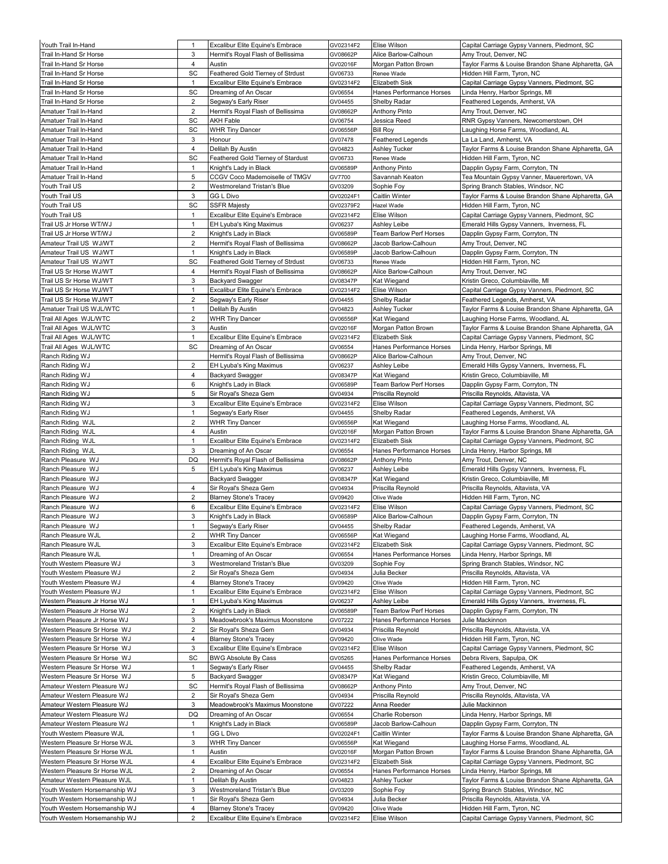| Youth Trail In-Hand                                          | 1                              | Excalibur Elite Equine's Embrace                                | GV02314F2            | Elise Wilson                         | Capital Carriage Gypsy Vanners, Piedmont, SC                                   |
|--------------------------------------------------------------|--------------------------------|-----------------------------------------------------------------|----------------------|--------------------------------------|--------------------------------------------------------------------------------|
| Trail In-Hand Sr Horse                                       | 3                              | Hermit's Royal Flash of Bellissima                              | GV08662P             | Alice Barlow-Calhoun                 | Amy Trout, Denver, NC                                                          |
| Trail In-Hand Sr Horse                                       | 4                              | Austin                                                          | GV02016F             | Morgan Patton Brown                  | Taylor Farms & Louise Brandon Shane Alpharetta, GA                             |
| Trail In-Hand Sr Horse                                       | SC                             | Feathered Gold Tierney of Strdust                               | GV06733              | Renee Wade                           | Hidden Hill Farm, Tyron, NC                                                    |
| Trail In-Hand Sr Horse                                       | $\mathbf{1}$                   | <b>Excalibur Elite Equine's Embrace</b>                         | GV02314F2            | <b>Elizabeth Sisk</b>                | Capital Carriage Gypsy Vanners, Piedmont, SC                                   |
| Trail In-Hand Sr Horse                                       | SC                             | Dreaming of An Oscar                                            | GV06554              | Hanes Performance Horses             | Linda Henry, Harbor Springs, MI                                                |
| Trail In-Hand Sr Horse                                       | 2<br>2                         | Segway's Early Riser<br>Hermit's Royal Flash of Bellissima      | GV04455<br>GV08662P  | Shelby Radar<br><b>Anthony Pinto</b> | Feathered Legends, Amherst, VA<br>Amy Trout, Denver, NC                        |
| Amatuer Trail In-Hand<br>Amatuer Trail In-Hand               | SC                             | <b>AKH Fable</b>                                                | GV06754              | Jessica Reed                         | RNR Gypsy Vanners, Newcomerstown, OH                                           |
| Amatuer Trail In-Hand                                        | SC                             | <b>WHR Tiny Dancer</b>                                          | GV06556P             | <b>Bill Roy</b>                      | aughing Horse Farms, Woodland, AL.                                             |
| Amatuer Trail In-Hand                                        | 3                              | Honour                                                          | GV07478              | <b>Feathered Legends</b>             | La La Land, Amherst, VA                                                        |
| Amatuer Trail In-Hand                                        | 4                              | Delilah By Austin                                               | GV04823              | <b>Ashley Tucker</b>                 | Taylor Farms & Louise Brandon Shane Alpharetta, GA                             |
| Amatuer Trail In-Hand                                        | SC                             | Feathered Gold Tierney of Stardust                              | GV06733              | Renee Wade                           | Hidden Hill Farm, Tyron, NC                                                    |
| Amatuer Trail In-Hand                                        | $\mathbf{1}$                   | Knight's Lady in Black                                          | GV06589P             | <b>Anthony Pinto</b>                 | Dapplin Gypsy Farm, Corryton, TN                                               |
| Amatuer Trail In-Hand                                        | 5                              | CCGV Coco Mademoiselle of TMGV                                  | GV7700               | Savannah Keaton                      | Tea Mountain Gypsy Vanner, Mauerertown, VA                                     |
| Youth Trail US                                               | 2                              | Westmoreland Tristan's Blue                                     | GV03209              | Sophie Foy                           | Spring Branch Stables, Windsor, NC                                             |
| Youth Trail US                                               | 3                              | <b>GG L Divo</b>                                                | GV02024F1            | Caitlin Winter                       | Taylor Farms & Louise Brandon Shane Alpharetta, GA                             |
| Youth Trail US                                               | SC                             | <b>SSFR Majesty</b>                                             | GV02379F2            | Hazel Wade                           | Hidden Hill Farm, Tyron, NC                                                    |
| Youth Trail US                                               | $\mathbf{1}$                   | Excalibur Elite Equine's Embrace                                | GV02314F2            | Elise Wilson                         | Capital Carriage Gypsy Vanners, Piedmont, SC                                   |
| Trail US Jr Horse WT/WJ                                      | 1                              | EH Lyuba's King Maximus                                         | GV06237              | Ashley Leibe                         | Emerald Hills Gypsy Vanners, Inverness, FL                                     |
| Trail US Jr Horse WT/WJ                                      | $\overline{2}$                 | Knight's Lady in Black                                          | GV06589P             | Team Barlow Perf Horses              | Dapplin Gypsy Farm, Corryton, TN                                               |
| Amateur Trail US WJ/WT                                       | 2                              | Hermit's Royal Flash of Bellissima                              | GV08662P             | Jacob Barlow-Calhoun                 | Amy Trout, Denver, NC                                                          |
| Amateur Trail US WJ/WT                                       | 1                              | Knight's Lady in Black                                          | GV06589P             | Jacob Barlow-Calhoun                 | Dapplin Gypsy Farm, Corryton, TN                                               |
| Amateur Trail US WJ/WT                                       | SC                             | Feathered Gold Tierney of Strdust                               | GV06733              | Renee Wade<br>Alice Barlow-Calhoun   | Hidden Hill Farm, Tyron, NC                                                    |
| Trail US Sr Horse WJ/WT<br>Trail US Sr Horse WJ/WT           | 4<br>3                         | Hermit's Royal Flash of Bellissima                              | GV08662P<br>GV08347P | Kat Wiegand                          | Amy Trout, Denver, NC                                                          |
|                                                              |                                | Backyard Swagger                                                |                      | Elise Wilson                         | Kristin Greco, Columbiaville, MI                                               |
| Trail US Sr Horse WJ/WT<br>Trail US Sr Horse WJ/WT           | $\mathbf{1}$<br>$\overline{2}$ | Excalibur Elite Equine's Embrace<br>Segway's Early Riser        | GV02314F2<br>GV04455 | Shelby Radar                         | Capital Carriage Gypsy Vanners, Piedmont, SC<br>Feathered Legends, Amherst, VA |
| Amatuer Trail US WJL/WTC                                     | 1                              | Delilah By Austin                                               | GV04823              | <b>Ashley Tucker</b>                 | Taylor Farms & Louise Brandon Shane Alpharetta, GA                             |
| Trail All Ages WJL/WTC                                       | $\overline{2}$                 | <b>WHR Tiny Dancer</b>                                          | GV06556P             | Kat Wiegand                          | aughing Horse Farms, Woodland, AL                                              |
| Trail All Ages WJL/WTC                                       | 3                              | Austin                                                          | GV02016F             | Morgan Patton Brown                  | Taylor Farms & Louise Brandon Shane Alpharetta, GA                             |
| Trail All Ages WJL/WTC                                       | $\mathbf{1}$                   | Excalibur Elite Equine's Embrace                                | GV02314F2            | Elizabeth Sisk                       | Capital Carriage Gypsy Vanners, Piedmont, SC                                   |
| Trail All Ages WJL/WTC                                       | SC                             | Dreaming of An Oscar                                            | GV06554              | Hanes Performance Horses             | Linda Henry, Harbor Springs, MI                                                |
| Ranch Riding WJ                                              |                                | Hermit's Royal Flash of Bellissima                              | GV08662P             | Alice Barlow-Calhoun                 | Amy Trout, Denver, NC                                                          |
| Ranch Riding WJ                                              | $\overline{2}$                 | EH Lyuba's King Maximus                                         | GV06237              | Ashley Leibe                         | Emerald Hills Gypsy Vanners, Inverness, FL                                     |
| Ranch Riding WJ                                              | 4                              | <b>Backyard Swagger</b>                                         | GV08347P             | Kat Wiegand                          | Kristin Greco, Columbiaville, MI                                               |
| Ranch Riding WJ                                              | 6                              | Knight's Lady in Black                                          | GV06589P             | Team Barlow Perf Horses              | Dapplin Gypsy Farm, Corryton, TN                                               |
| Ranch Riding WJ                                              | 5                              | Sir Royal's Sheza Gem                                           | GV04934              | Priscilla Reynold                    | Priscilla Reynolds, Altavista, VA                                              |
| Ranch Riding WJ                                              | 3                              | Excalibur Elite Equine's Embrace                                | GV02314F2            | Elise Wilson                         | Capital Carriage Gypsy Vanners, Piedmont, SC                                   |
| Ranch Riding WJ                                              | 1                              | Segway's Early Riser                                            | GV04455              | Shelby Radar                         | Feathered Legends, Amherst, VA                                                 |
| Ranch Riding WJL                                             | 2                              | <b>WHR Tiny Dancer</b>                                          | GV06556P             | Kat Wiegand                          | Laughing Horse Farms, Woodland, AL                                             |
| Ranch Riding WJL                                             | 4                              | Austin                                                          | GV02016F             | Morgan Patton Brown                  | Taylor Farms & Louise Brandon Shane Alpharetta, GA                             |
| Ranch Riding WJL                                             | $\mathbf{1}$                   | Excalibur Elite Equine's Embrace                                | GV02314F2            | <b>Elizabeth Sisk</b>                | Capital Carriage Gypsy Vanners, Piedmont, SC                                   |
| Ranch Riding WJL<br>Ranch Pleasure WJ                        | 3<br>DQ                        | Dreaming of An Oscar<br>Hermit's Royal Flash of Bellissima      | GV06554              | Hanes Performance Horses             | Linda Henry, Harbor Springs, MI                                                |
| Ranch Pleasure WJ                                            | 5                              | EH Lyuba's King Maximus                                         | GV08662P<br>GV06237  | Anthony Pinto<br>Ashley Leibe        | Amy Trout, Denver, NC<br>Emerald Hills Gypsy Vanners, Inverness, FL            |
| Ranch Pleasure WJ                                            |                                | <b>Backyard Swagger</b>                                         | GV08347P             | Kat Wiegand                          | Kristin Greco, Columbiaville, MI                                               |
| Ranch Pleasure WJ                                            | 4                              | Sir Royal's Sheza Gem                                           | GV04934              | Priscilla Reynold                    | Priscilla Reynolds, Altavista, VA                                              |
| Ranch Pleasure WJ                                            | 2                              | <b>Blarney Stone's Tracey</b>                                   | GV09420              | Olive Wade                           | Hidden Hill Farm, Tyron, NC                                                    |
| Ranch Pleasure WJ                                            | 6                              | Excalibur Elite Equine's Embrace                                | GV02314F2            | Elise Wilson                         | Capital Carriage Gypsy Vanners, Piedmont, SC                                   |
| Ranch Pleasure WJ                                            | 3                              | Knight's Lady in Black                                          | GV06589P             | Alice Barlow-Calhoun                 | Dapplin Gypsy Farm, Corryton, TN                                               |
| Ranch Pleasure WJ                                            | $\mathbf{1}$                   | Segway's Early Riser                                            | GV04455              | Shelby Radar                         | Feathered Legends, Amherst, VA                                                 |
| Ranch Pleasure WJL                                           | $\overline{2}$                 | <b>WHR Tiny Dancer</b>                                          | GV06556P             | Kat Wiegand                          | aughing Horse Farms, Woodland, AL                                              |
| Ranch Pleasure WJL                                           | 3                              | Excalibur Elite Equine's Embrace                                | GV02314F2            | Elizabeth Sisk                       | Capital Carriage Gypsy Vanners, Piedmont, SC                                   |
| Ranch Pleasure WJL                                           | $\mathbf{1}$                   | Dreaming of An Oscar                                            | GV06554              | Hanes Performance Horses             | Linda Henry, Harbor Springs, MI                                                |
| Youth Western Pleasure WJ                                    | 3                              | Westmoreland Tristan's Blue                                     | GV03209              | Sophie Foy                           | Spring Branch Stables, Windsor, NC                                             |
| Youth Western Pleasure WJ                                    | $\overline{2}$                 | Sir Royal's Sheza Gem                                           | GV04934              | Julia Becker                         | Priscilla Reynolds, Altavista, VA                                              |
| Youth Western Pleasure WJ                                    | 4                              | <b>Blarney Stone's Tracey</b>                                   | GV09420              | Olive Wade                           | Hidden Hill Farm, Tyron, NC                                                    |
| Youth Western Pleasure WJ                                    | 1                              | Excalibur Elite Equine's Embrace                                | GV02314F2            | Elise Wilson                         | Capital Carriage Gypsy Vanners, Piedmont, SC                                   |
| Western Pleasure Jr Horse WJ                                 | $\mathbf{1}$                   | EH Lyuba's King Maximus                                         | GV06237              | Ashley Leibe                         | Emerald Hills Gypsy Vanners, Inverness, FL                                     |
| Western Pleasure Jr Horse WJ                                 | 2                              | Knight's Lady in Black<br>Meadowbrook's Maximus Moonstone       | GV06589P             | Team Barlow Perf Horses              | Dapplin Gypsy Farm, Corryton, TN                                               |
| Western Pleasure Jr Horse WJ                                 | 3                              |                                                                 | GV07222              | Hanes Performance Horses             | Julie Mackinnon                                                                |
| Western Pleasure Sr Horse WJ<br>Western Pleasure Sr Horse WJ | 2<br>4                         | Sir Royal's Sheza Gem<br><b>Blarney Stone's Tracey</b>          | GV04934<br>GV09420   | Priscilla Reynold                    | Priscilla Reynolds, Altavista, VA<br>Hidden Hill Farm, Tyron, NC               |
| Western Pleasure Sr Horse WJ                                 | 3                              |                                                                 |                      | Olive Wade<br>Elise Wilson           | Capital Carriage Gypsy Vanners, Piedmont, SC                                   |
| Western Pleasure Sr Horse WJ                                 | SC                             | Excalibur Elite Equine's Embrace<br><b>BWG Absolute By Cass</b> | GV02314F2<br>GV05265 | Hanes Performance Horses             | Debra Rivers, Sapulpa, OK                                                      |
| Western Pleasure Sr Horse WJ                                 | 1                              | Segway's Early Riser                                            | GV04455              | Shelby Radar                         | Feathered Legends, Amherst, VA                                                 |
| Western Pleasure Sr Horse WJ                                 | 5                              | <b>Backyard Swagger</b>                                         | GV08347P             | Kat Wiegand                          | Kristin Greco, Columbiaville, MI                                               |
| Amateur Western Pleasure WJ                                  | SC                             | Hermit's Royal Flash of Bellissima                              | GV08662P             | Anthony Pinto                        | Amy Trout, Denver, NC                                                          |
| Amateur Western Pleasure WJ                                  | $\overline{2}$                 | Sir Royal's Sheza Gem                                           | GV04934              | Priscilla Reynold                    | Priscilla Reynolds, Altavista, VA                                              |
| Amateur Western Pleasure WJ                                  | 3                              | Meadowbrook's Maximus Moonstone                                 | GV07222              | Anna Reeder                          | Julie Mackinnon                                                                |
| Amateur Western Pleasure WJ                                  | DQ                             | Dreaming of An Oscar                                            | GV06554              | Charlie Roberson                     | Linda Henry, Harbor Springs, MI                                                |
| Amateur Western Pleasure WJ                                  | 1                              | Knight's Lady in Black                                          | GV06589P             | Jacob Barlow-Calhoun                 | Dapplin Gypsy Farm, Corryton, TN                                               |
| Youth Western Pleasure WJL                                   | 1                              | <b>GG L Divo</b>                                                | GV02024F1            | Caitlin Winter                       | Taylor Farms & Louise Brandon Shane Alpharetta, GA                             |
| Western Pleasure Sr Horse WJL                                | 3                              | <b>WHR Tiny Dancer</b>                                          | GV06556P             | Kat Wiegand                          | Laughing Horse Farms, Woodland, AL                                             |
| Western Pleasure Sr Horse WJL                                | $\mathbf{1}$                   | Austin                                                          | GV02016F             | Morgan Patton Brown                  | Taylor Farms & Louise Brandon Shane Alpharetta, GA                             |
| Western Pleasure Sr Horse WJL                                | 4                              | Excalibur Elite Equine's Embrace                                | GV02314F2            | Elizabeth Sisk                       | Capital Carriage Gypsy Vanners, Piedmont, SC                                   |
| Western Pleasure Sr Horse WJL                                | $\overline{2}$                 | Dreaming of An Oscar                                            | GV06554              | Hanes Performance Horses             | Linda Henry, Harbor Springs, MI                                                |
| Amateur Western Pleasure WJL                                 | $\mathbf{1}$                   | Delilah By Austin                                               | GV04823              | <b>Ashley Tucker</b>                 | Taylor Farms & Louise Brandon Shane Alpharetta, GA                             |
| Youth Western Horsemanship WJ                                | 3                              | Westmoreland Tristan's Blue                                     | GV03209              | Sophie Foy                           | Spring Branch Stables, Windsor, NC                                             |
| Youth Western Horsemanship WJ                                | 1                              | Sir Royal's Sheza Gem                                           | GV04934              | Julia Becker                         | Priscilla Reynolds, Altavista, VA                                              |
| Youth Western Horsemanship WJ                                | 4                              | <b>Blarney Stone's Tracey</b>                                   | GV09420              | Olive Wade                           | Hidden Hill Farm, Tyron, NC                                                    |
| Youth Western Horsemanship WJ                                | 2                              | Excalibur Elite Equine's Embrace                                | GV02314F2            | Elise Wilson                         | Capital Carriage Gypsy Vanners, Piedmont, SC                                   |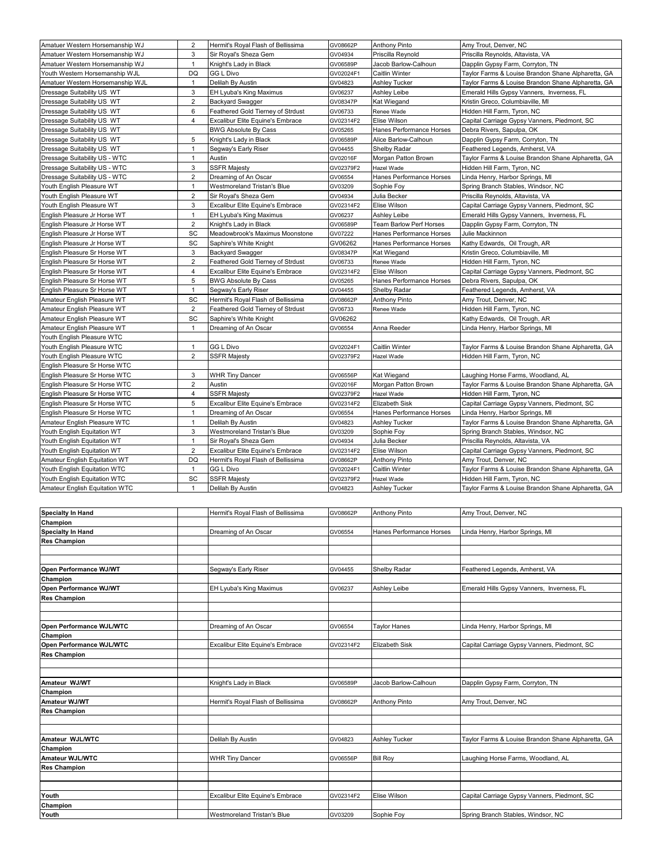| Amatuer Western Horsemanship WJ  | 2              | Hermit's Royal Flash of Bellissima | GV08662P  | <b>Anthony Pinto</b>     | Amy Trout, Denver, NC                              |
|----------------------------------|----------------|------------------------------------|-----------|--------------------------|----------------------------------------------------|
| Amatuer Western Horsemanship WJ  | 3              | Sir Royal's Sheza Gem              | GV04934   | Priscilla Reynold        | Priscilla Reynolds, Altavista, VA                  |
| Amatuer Western Horsemanship WJ  | $\mathbf{1}$   | Knight's Lady in Black             | GV06589P  | Jacob Barlow-Calhoun     | Dapplin Gypsy Farm, Corryton, TN                   |
| Youth Western Horsemanship WJL   | <b>DQ</b>      | GG L Divo                          | GV02024F1 | Caitlin Winter           | Taylor Farms & Louise Brandon Shane Alpharetta, GA |
| Amatuer Western Horsemanship WJL | $\mathbf{1}$   | Delilah By Austin                  | GV04823   | <b>Ashley Tucker</b>     | Taylor Farms & Louise Brandon Shane Alpharetta, GA |
| Dressage Suitability US WT       | 3              | EH Lyuba's King Maximus            | GV06237   | Ashley Leibe             | Emerald Hills Gypsy Vanners, Inverness, FL         |
| Dressage Suitability US WT       | $\overline{2}$ | <b>Backyard Swagger</b>            | GV08347P  | Kat Wiegand              | Kristin Greco, Columbiaville, MI                   |
| Dressage Suitability US WT       | 6              | Feathered Gold Tierney of Strdust  | GV06733   | Renee Wade               | Hidden Hill Farm, Tyron, NC                        |
| Dressage Suitability US WT       | 4              | Excalibur Elite Equine's Embrace   | GV02314F2 | Elise Wilson             | Capital Carriage Gypsy Vanners, Piedmont, SC       |
| Dressage Suitability US WT       |                | <b>BWG Absolute By Cass</b>        | GV05265   | Hanes Performance Horses | Debra Rivers, Sapulpa, OK                          |
| Dressage Suitability US WT       | 5              | Knight's Lady in Black             | GV06589P  | Alice Barlow-Calhoun     | Dapplin Gypsy Farm, Corryton, TN                   |
| Dressage Suitability US WT       | $\mathbf{1}$   | Segway's Early Riser               | GV04455   | Shelby Radar             | Feathered Legends, Amherst, VA                     |
| Dressage Suitability US - WTC    | $\mathbf{1}$   | Austin                             | GV02016F  | Morgan Patton Brown      | Taylor Farms & Louise Brandon Shane Alpharetta, GA |
| Dressage Suitability US - WTC    | 3              | <b>SSFR Majesty</b>                | GV02379F2 | Hazel Wade               | Hidden Hill Farm, Tyron, NC                        |
| Dressage Suitability US - WTC    | $\overline{2}$ | Dreaming of An Oscar               | GV06554   | Hanes Performance Horses | Linda Henry, Harbor Springs, MI                    |
| Youth English Pleasure WT        | $\mathbf{1}$   | Westmoreland Tristan's Blue        | GV03209   | Sophie Foy               | Spring Branch Stables, Windsor, NC                 |
| Youth English Pleasure WT        | $\overline{2}$ | Sir Royal's Sheza Gem              | GV04934   | Julia Becker             | Priscilla Reynolds, Altavista, VA                  |
| Youth English Pleasure WT        | 3              | Excalibur Elite Equine's Embrace   | GV02314F2 | Elise Wilson             | Capital Carriage Gypsy Vanners, Piedmont, SC       |
| English Pleasure Jr Horse WT     | $\mathbf{1}$   | EH Lyuba's King Maximus            | GV06237   | Ashley Leibe             | Emerald Hills Gypsy Vanners, Inverness, FL         |
| English Pleasure Jr Horse WT     | $\overline{2}$ | Knight's Lady in Black             | GV06589P  | Team Barlow Perf Horses  | Dapplin Gypsy Farm, Corryton, TN                   |
| English Pleasure Jr Horse WT     | SC             | Meadowbrook's Maximus Moonstone    | GV07222   | Hanes Performance Horses | Julie Mackinnon                                    |
| English Pleasure Jr Horse WT     | SC             | Saphire's White Knight             | GV06262   | Hanes Performance Horses | Kathy Edwards, Oil Trough, AR                      |
| English Pleasure Sr Horse WT     | 3              | <b>Backyard Swagger</b>            | GV08347P  | Kat Wiegand              | Kristin Greco, Columbiaville, MI                   |
| English Pleasure Sr Horse WT     | $\overline{2}$ | Feathered Gold Tierney of Strdust  | GV06733   | Renee Wade               | Hidden Hill Farm, Tyron, NC                        |
| English Pleasure Sr Horse WT     | 4              | Excalibur Elite Equine's Embrace   | GV02314F2 | Elise Wilson             | Capital Carriage Gypsy Vanners, Piedmont, SC       |
| English Pleasure Sr Horse WT     | 5              | <b>BWG Absolute By Cass</b>        | GV05265   | Hanes Performance Horses | Debra Rivers, Sapulpa, OK                          |
| English Pleasure Sr Horse WT     | $\mathbf{1}$   | Segway's Early Riser               | GV04455   | Shelby Radar             | Feathered Legends, Amherst, VA                     |
| Amateur English Pleasure WT      | SC             | Hermit's Royal Flash of Bellissima | GV08662P  | <b>Anthony Pinto</b>     | Amy Trout, Denver, NC                              |
| Amateur English Pleasure WT      | $\overline{2}$ | Feathered Gold Tierney of Strdust  | GV06733   | Renee Wade               | Hidden Hill Farm, Tyron, NC                        |
| Amateur English Pleasure WT      | SC             | Saphire's White Knight             | GV06262   |                          | Kathy Edwards, Oil Trough, AR                      |
| Amateur English Pleasure WT      | $\mathbf{1}$   | Dreaming of An Oscar               | GV06554   | Anna Reeder              | Linda Henry, Harbor Springs, MI                    |
| Youth English Pleasure WTC       |                |                                    |           |                          |                                                    |
| Youth English Pleasure WTC       | $\mathbf{1}$   | GG L Divo                          | GV02024F1 | Caitlin Winter           | Taylor Farms & Louise Brandon Shane Alpharetta, GA |
| Youth English Pleasure WTC       | $\overline{2}$ | <b>SSFR Majesty</b>                | GV02379F2 | Hazel Wade               | Hidden Hill Farm, Tyron, NC                        |
| English Pleasure Sr Horse WTC    |                |                                    |           |                          |                                                    |
| English Pleasure Sr Horse WTC    | 3              | <b>WHR Tiny Dancer</b>             | GV06556P  | Kat Wiegand              | Laughing Horse Farms, Woodland, AL                 |
| English Pleasure Sr Horse WTC    | $\overline{2}$ | Austin                             | GV02016F  | Morgan Patton Brown      | Taylor Farms & Louise Brandon Shane Alpharetta, GA |
| English Pleasure Sr Horse WTC    | $\overline{4}$ | <b>SSFR Majesty</b>                | GV02379F2 | Hazel Wade               | Hidden Hill Farm, Tyron, NC                        |
| English Pleasure Sr Horse WTC    | 5              | Excalibur Elite Equine's Embrace   | GV02314F2 | Elizabeth Sisk           | Capital Carriage Gypsy Vanners, Piedmont, SC       |
| English Pleasure Sr Horse WTC    | $\mathbf{1}$   | Dreaming of An Oscar               | GV06554   | Hanes Performance Horses | Linda Henry, Harbor Springs, MI                    |
| Amateur English Pleasure WTC     | $\mathbf{1}$   | Delilah By Austin                  | GV04823   | <b>Ashley Tucker</b>     | Taylor Farms & Louise Brandon Shane Alpharetta, GA |
| Youth English Equitation WT      | 3              | Westmoreland Tristan's Blue        | GV03209   | Sophie Foy               | Spring Branch Stables, Windsor, NC                 |
| Youth English Equitation WT      | $\mathbf{1}$   | Sir Royal's Sheza Gem              | GV04934   | Julia Becker             | Priscilla Reynolds, Altavista, VA                  |
| Youth English Equitation WT      | $\overline{2}$ | Excalibur Elite Equine's Embrace   | GV02314F2 | Elise Wilson             | Capital Carriage Gypsy Vanners, Piedmont, SC       |
| Amateur English Equitation WT    | DQ             | Hermit's Royal Flash of Bellissima | GV08662P  | <b>Anthony Pinto</b>     | Amy Trout, Denver, NC                              |
| Youth English Equitation WTC     | $\mathbf{1}$   | <b>GG L Divo</b>                   | GV02024F1 | Caitlin Winter           | Taylor Farms & Louise Brandon Shane Alpharetta, GA |
| Youth English Equitation WTC     | SC             | <b>SSFR Majesty</b>                | GV02379F2 | Hazel Wade               | Hidden Hill Farm, Tyron, NC                        |
| Amateur English Equitation WTC   | $\mathbf{1}$   | Delilah By Austin                  | GV04823   | <b>Ashley Tucker</b>     | Taylor Farms & Louise Brandon Shane Alpharetta, GA |
|                                  |                |                                    |           |                          |                                                    |

| <b>Specialty In Hand</b> | Hermit's Royal Flash of Bellissima | GV08662P  | <b>Anthony Pinto</b>     | Amy Trout, Denver, NC                              |
|--------------------------|------------------------------------|-----------|--------------------------|----------------------------------------------------|
| Champion                 |                                    |           |                          |                                                    |
| <b>Specialty In Hand</b> | Dreaming of An Oscar               | GV06554   | Hanes Performance Horses | Linda Henry, Harbor Springs, MI                    |
| <b>Res Champion</b>      |                                    |           |                          |                                                    |
|                          |                                    |           |                          |                                                    |
|                          |                                    |           |                          |                                                    |
| Open Performance WJ/WT   | Segway's Early Riser               | GV04455   | Shelby Radar             | Feathered Legends, Amherst, VA                     |
| Champion                 |                                    |           |                          |                                                    |
| Open Performance WJ/WT   | EH Lyuba's King Maximus            | GV06237   | Ashley Leibe             | Emerald Hills Gypsy Vanners, Inverness, FL         |
| <b>Res Champion</b>      |                                    |           |                          |                                                    |
|                          |                                    |           |                          |                                                    |
|                          |                                    |           |                          |                                                    |
| Open Performance WJL/WTC | Dreaming of An Oscar               | GV06554   | <b>Taylor Hanes</b>      | Linda Henry, Harbor Springs, MI                    |
| Champion                 |                                    |           |                          |                                                    |
| Open Performance WJL/WTC | Excalibur Elite Equine's Embrace   | GV02314F2 | <b>Elizabeth Sisk</b>    | Capital Carriage Gypsy Vanners, Piedmont, SC       |
| <b>Res Champion</b>      |                                    |           |                          |                                                    |
|                          |                                    |           |                          |                                                    |
|                          |                                    |           |                          |                                                    |
| Amateur WJ/WT            | Knight's Lady in Black             | GV06589P  | Jacob Barlow-Calhoun     | Dapplin Gypsy Farm, Corryton, TN                   |
| Champion                 |                                    |           |                          |                                                    |
| <b>Amateur WJ/WT</b>     | Hermit's Royal Flash of Bellissima | GV08662P  | Anthony Pinto            | Amy Trout, Denver, NC                              |
| <b>Res Champion</b>      |                                    |           |                          |                                                    |
|                          |                                    |           |                          |                                                    |
|                          |                                    |           |                          |                                                    |
| Amateur WJL/WTC          | Delilah By Austin                  | GV04823   | <b>Ashley Tucker</b>     | Taylor Farms & Louise Brandon Shane Alpharetta, GA |
| Champion                 |                                    |           |                          |                                                    |
| Amateur WJL/WTC          | <b>WHR Tiny Dancer</b>             | GV06556P  | <b>Bill Roy</b>          | Laughing Horse Farms, Woodland, AL                 |
| <b>Res Champion</b>      |                                    |           |                          |                                                    |
|                          |                                    |           |                          |                                                    |
|                          |                                    |           |                          |                                                    |
| Youth                    | Excalibur Elite Equine's Embrace   | GV02314F2 | Elise Wilson             | Capital Carriage Gypsy Vanners, Piedmont, SC       |
| Champion                 |                                    |           |                          |                                                    |
|                          |                                    |           |                          |                                                    |